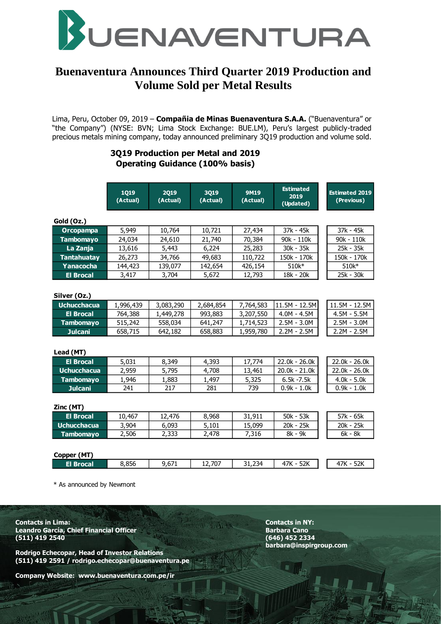

# **Buenaventura Announces Third Quarter 2019 Production and Volume Sold per Metal Results**

Lima, Peru, October 09, 2019 – **Compañia de Minas Buenaventura S.A.A.** ("Buenaventura" or "the Company") (NYSE: BVN; Lima Stock Exchange: BUE.LM), Peru's largest publicly-traded precious metals mining company, today announced preliminary 3Q19 production and volume sold.

# **3Q19 Production per Metal and 2019 Operating Guidance (100% basis)**

|                    | 1019<br>(Actual) | 2019<br>(Actual) | 3019<br>(Actual) | <b>9M19</b><br>(Actual) | <b>Estimated</b><br>2019<br>(Updated) | <b>Estimated 2019</b><br>(Previous) |
|--------------------|------------------|------------------|------------------|-------------------------|---------------------------------------|-------------------------------------|
| Gold (Oz.)         |                  |                  |                  |                         |                                       |                                     |
| <b>Orcopampa</b>   | 5,949            | 10,764           | 10,721           | 27,434                  | 37k - 45k                             | 37k - 45k                           |
| <b>Tambomayo</b>   | 24,034           | 24,610           | 21,740           | 70,384                  | 90k - 110k                            | 90k - 110k                          |
| La Zanja           | 13,616           | 5,443            | 6,224            | 25,283                  | 30k - 35k                             | 25k - 35k                           |
| <b>Tantahuatay</b> | 26,273           | 34,766           | 49,683           | 110,722                 | 150k - 170k                           | 150k - 170k                         |
| Yanacocha          | 144,423          | 139,077          | 142,654          | 426,154                 | 510k*                                 | 510k*                               |
| <b>El Brocal</b>   | 3,417            | 3,704            | 5,672            | 12,793                  | 18k - 20k                             | 25k - 30k                           |
| Silver (Oz.)       |                  |                  |                  |                         |                                       |                                     |
| <b>Uchucchacua</b> | 1,996,439        | 3,083,290        | 2,684,854        | 7,764,583               | 11.5M - 12.5M                         | 11.5M - 12.5M                       |
| <b>El Brocal</b>   | 764,388          | 1,449,278        | 993,883          | 3,207,550               | $4.0M - 4.5M$                         | $4.5M - 5.5M$                       |
| <b>Tambomayo</b>   | 515,242          | 558,034          | 641,247          | 1,714,523               | $2.5M - 3.0M$                         | $2.5M - 3.0M$                       |
| <b>Julcani</b>     | 658,715          | 642,182          | 658,883          | 1,959,780               | $2.2M - 2.5M$                         | $2.2M - 2.5M$                       |
| Lead (MT)          |                  |                  |                  |                         |                                       |                                     |
| <b>El Brocal</b>   | 5,031            | 8,349            | 4,393            | 17,774                  | 22.0k - 26.0k                         | 22.0k - 26.0k                       |
| <b>Uchucchacua</b> | 2,959            | 5,795            | 4,708            | 13,461                  | 20.0k - 21.0k                         | 22.0k - 26.0k                       |
| <b>Tambomayo</b>   | 1,946            | 1,883            | 1,497            | 5,325                   | $6.5k - 7.5k$                         | $4.0k - 5.0k$                       |
| <b>Julcani</b>     | 241              | 217              | 281              | 739                     | $0.9k - 1.0k$                         | $0.9k - 1.0k$                       |
| Zinc (MT)          |                  |                  |                  |                         |                                       |                                     |
| <b>El Brocal</b>   | 10,467           | 12,476           | 8,968            | 31,911                  | 50k - 53k                             | 57k - 65k                           |
| <b>Uchucchacua</b> | 3,904            | 6,093            | 5,101            | 15,099                  | 20k - 25k                             | 20k - 25k                           |
| <b>Tambomayo</b>   | 2,506            | 2,333            | 2,478            | 7,316                   | 8k - 9k                               | 6k - 8k                             |
| Copper (MT)        |                  |                  |                  |                         |                                       |                                     |
| <b>El Brocal</b>   | 8,856            | 9,671            | 12,707           | 31,234                  | 47K - 52K                             | 47K - 52K                           |

\* As announced by Newmont

**Contacts in Lima: Contacts in NY: Leandro García, Chief Financial Officer Canobara Canobara Canobara Canobara Cano (511) 419 2540 (646) 452 2334**

**Rodrigo Echecopar, Head of Investor Relations (511) 419 2591 / rodrigo.echecopar@buenaventura.pe** 

**Company Website: www.buenaventura.com.pe/ir**

**barbara@inspirgroup.com**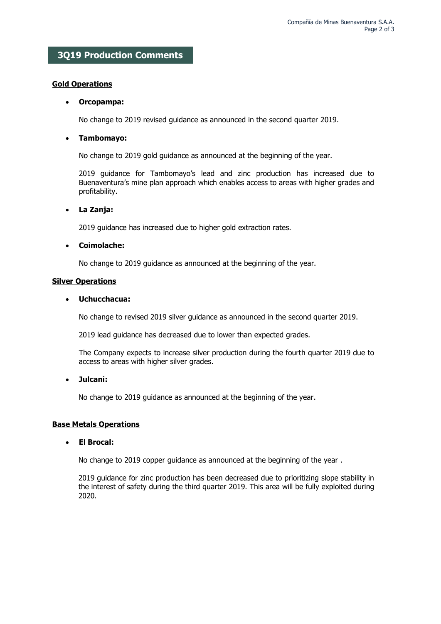# **3Q19 Production Comments**

### **Gold Operations**

#### **Orcopampa:**

No change to 2019 revised guidance as announced in the second quarter 2019.

### **Tambomayo:**

No change to 2019 gold guidance as announced at the beginning of the year.

2019 guidance for Tambomayo's lead and zinc production has increased due to Buenaventura's mine plan approach which enables access to areas with higher grades and profitability.

### **La Zanja:**

2019 guidance has increased due to higher gold extraction rates.

### **Coimolache:**

No change to 2019 guidance as announced at the beginning of the year.

### **Silver Operations**

### **Uchucchacua:**

No change to revised 2019 silver guidance as announced in the second quarter 2019.

2019 lead guidance has decreased due to lower than expected grades.

The Company expects to increase silver production during the fourth quarter 2019 due to access to areas with higher silver grades.

### **Julcani:**

No change to 2019 guidance as announced at the beginning of the year.

### **Base Metals Operations**

### **El Brocal:**

No change to 2019 copper guidance as announced at the beginning of the year .

2019 guidance for zinc production has been decreased due to prioritizing slope stability in the interest of safety during the third quarter 2019. This area will be fully exploited during 2020.